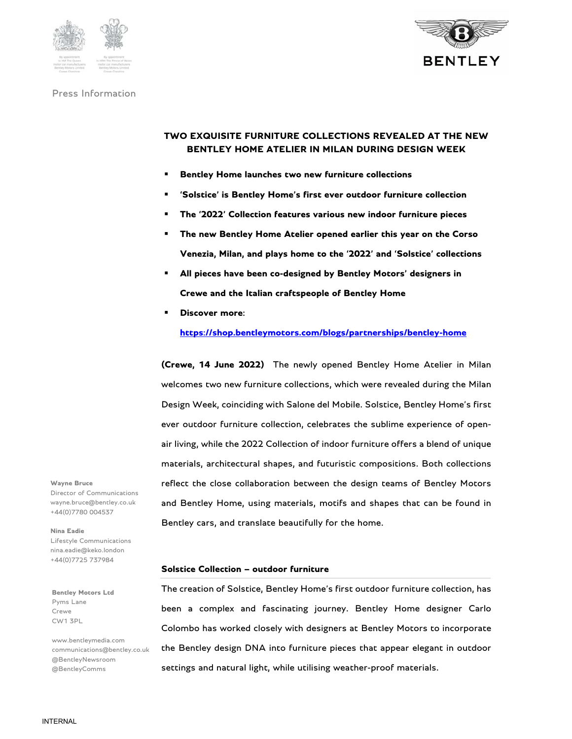





# **TWO EXQUISITE FURNITURE COLLECTIONS REVEALED AT THE NEW BENTLEY HOME ATELIER IN MILAN DURING DESIGN WEEK**

- **Bentley Home launches two new furniture collections**
- **'Solstice' is Bentley Home's first ever outdoor furniture collection**
- **The '2022' Collection features various new indoor furniture pieces**
- **The new Bentley Home Atelier opened earlier this year on the Corso Venezia, Milan, and plays home to the '2022' and 'Solstice' collections**
- **All pieces have been co-designed by Bentley Motors' designers in Crewe and the Italian craftspeople of Bentley Home**
- **Discover more:**

**https://shop.bentleymotors.com/blogs/partnerships/bentley-home** 

**(Crewe, 14 June 2022)** The newly opened Bentley Home Atelier in Milan welcomes two new furniture collections, which were revealed during the Milan Design Week, coinciding with Salone del Mobile. Solstice, Bentley Home's first ever outdoor furniture collection, celebrates the sublime experience of openair living, while the 2022 Collection of indoor furniture offers a blend of unique materials, architectural shapes, and futuristic compositions. Both collections reflect the close collaboration between the design teams of Bentley Motors and Bentley Home, using materials, motifs and shapes that can be found in Bentley cars, and translate beautifully for the home.

**Solstice Collection – outdoor furniture** 

The creation of Solstice, Bentley Home's first outdoor furniture collection, has been a complex and fascinating journey. Bentley Home designer Carlo Colombo has worked closely with designers at Bentley Motors to incorporate the Bentley design DNA into furniture pieces that appear elegant in outdoor settings and natural light, while utilising weather-proof materials.

**Wayne Bruce** 

Director of Communications wayne.bruce@bentley.co.uk +44(0)7780 004537

**Nina Eadie**  Lifestyle Communications nina.eadie@keko.london +44(0)7725 737984

**Bentley Motors Ltd**  Pyms Lane Crewe CW1 3PL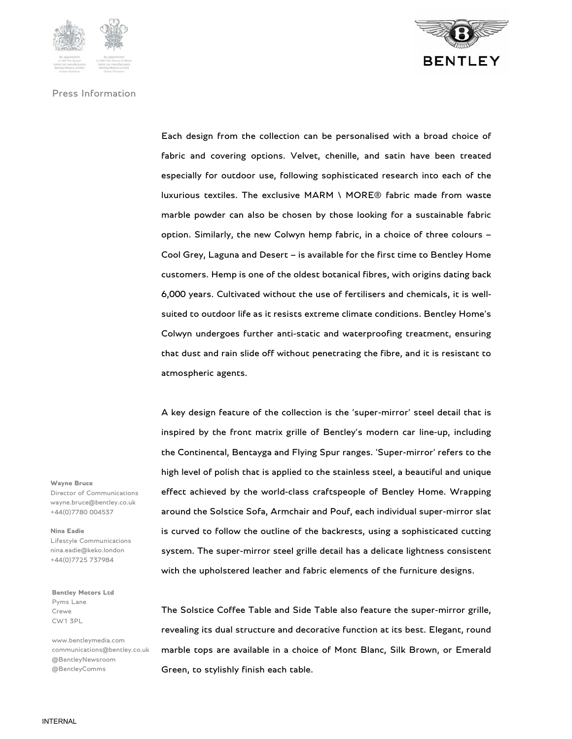



Each design from the collection can be personalised with a broad choice of fabric and covering options. Velvet, chenille, and satin have been treated especially for outdoor use, following sophisticated research into each of the luxurious textiles. The exclusive MARM \ MORE® fabric made from waste marble powder can also be chosen by those looking for a sustainable fabric option. Similarly, the new Colwyn hemp fabric, in a choice of three colours – Cool Grey, Laguna and Desert – is available for the first time to Bentley Home customers. Hemp is one of the oldest botanical fibres, with origins dating back 6,000 years. Cultivated without the use of fertilisers and chemicals, it is wellsuited to outdoor life as it resists extreme climate conditions. Bentley Home's Colwyn undergoes further anti-static and waterproofing treatment, ensuring that dust and rain slide off without penetrating the fibre, and it is resistant to atmospheric agents.

A key design feature of the collection is the 'super-mirror' steel detail that is inspired by the front matrix grille of Bentley's modern car line-up, including the Continental, Bentayga and Flying Spur ranges. 'Super-mirror' refers to the high level of polish that is applied to the stainless steel, a beautiful and unique effect achieved by the world-class craftspeople of Bentley Home. Wrapping around the Solstice Sofa, Armchair and Pouf, each individual super-mirror slat is curved to follow the outline of the backrests, using a sophisticated cutting system. The super-mirror steel grille detail has a delicate lightness consistent with the upholstered leather and fabric elements of the furniture designs.

The Solstice Coffee Table and Side Table also feature the super-mirror grille, revealing its dual structure and decorative function at its best. Elegant, round marble tops are available in a choice of Mont Blanc, Silk Brown, or Emerald Green, to stylishly finish each table.

**Wayne Bruce**  Director of Communications wayne.bruce@bentley.co.uk

+44(0)7780 004537

#### **Nina Eadie**

Lifestyle Communications nina.eadie@keko.london +44(0)7725 737984

**Bentley Motors Ltd**  Pyms Lane Crewe CW1 3PL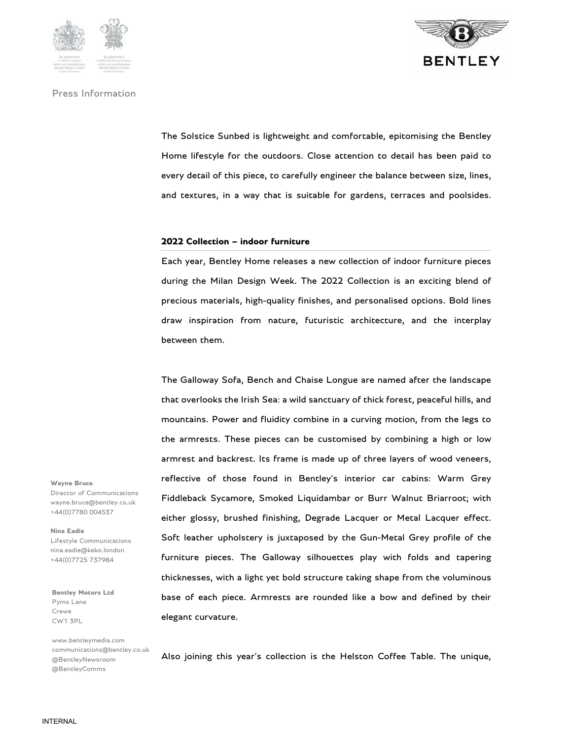



The Solstice Sunbed is lightweight and comfortable, epitomising the Bentley Home lifestyle for the outdoors. Close attention to detail has been paid to every detail of this piece, to carefully engineer the balance between size, lines, and textures, in a way that is suitable for gardens, terraces and poolsides.

### **2022 Collection – indoor furniture**

Each year, Bentley Home releases a new collection of indoor furniture pieces during the Milan Design Week. The 2022 Collection is an exciting blend of precious materials, high-quality finishes, and personalised options. Bold lines draw inspiration from nature, futuristic architecture, and the interplay between them.

The Galloway Sofa, Bench and Chaise Longue are named after the landscape that overlooks the Irish Sea: a wild sanctuary of thick forest, peaceful hills, and mountains. Power and fluidity combine in a curving motion, from the legs to the armrests. These pieces can be customised by combining a high or low armrest and backrest. Its frame is made up of three layers of wood veneers, reflective of those found in Bentley's interior car cabins: Warm Grey Fiddleback Sycamore, Smoked Liquidambar or Burr Walnut Briarroot; with either glossy, brushed finishing, Degrade Lacquer or Metal Lacquer effect. Soft leather upholstery is juxtaposed by the Gun-Metal Grey profile of the furniture pieces. The Galloway silhouettes play with folds and tapering thicknesses, with a light yet bold structure taking shape from the voluminous base of each piece. Armrests are rounded like a bow and defined by their elegant curvature.

Also joining this year's collection is the Helston Coffee Table. The unique,

**Wayne Bruce**  Director of Communications wayne.bruce@bentley.co.uk +44(0)7780 004537

**Nina Eadie** 

Lifestyle Communications nina.eadie@keko.london +44(0)7725 737984

**Bentley Motors Ltd**  Pyms Lane Crewe CW1 3PL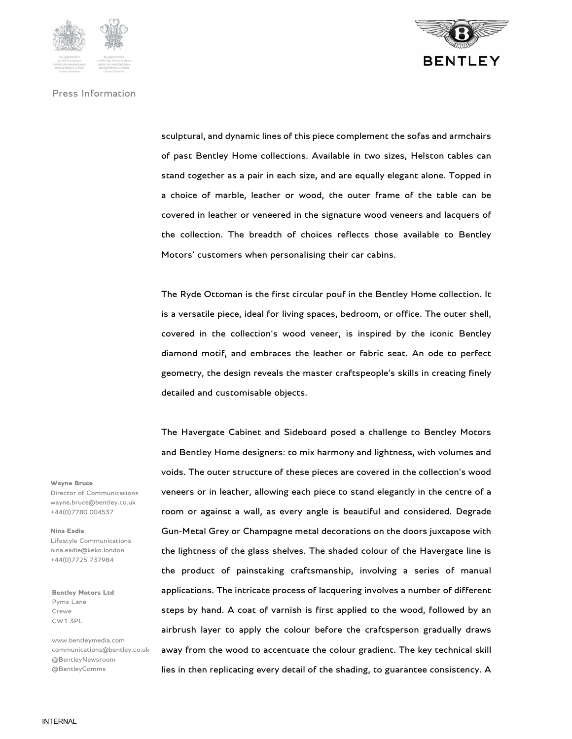



sculptural, and dynamic lines of this piece complement the sofas and armchairs of past Bentley Home collections. Available in two sizes, Helston tables can stand together as a pair in each size, and are equally elegant alone. Topped in a choice of marble, leather or wood, the outer frame of the table can be covered in leather or veneered in the signature wood veneers and lacquers of the collection. The breadth of choices reflects those available to Bentley Motors' customers when personalising their car cabins.

The Ryde Ottoman is the first circular pouf in the Bentley Home collection. It is a versatile piece, ideal for living spaces, bedroom, or office. The outer shell, covered in the collection's wood veneer, is inspired by the iconic Bentley diamond motif, and embraces the leather or fabric seat. An ode to perfect geometry, the design reveals the master craftspeople's skills in creating finely detailed and customisable objects.

The Havergate Cabinet and Sideboard posed a challenge to Bentley Motors and Bentley Home designers: to mix harmony and lightness, with volumes and voids. The outer structure of these pieces are covered in the collection's wood veneers or in leather, allowing each piece to stand elegantly in the centre of a room or against a wall, as every angle is beautiful and considered. Degrade Gun-Metal Grey or Champagne metal decorations on the doors juxtapose with the lightness of the glass shelves. The shaded colour of the Havergate line is the product of painstaking craftsmanship, involving a series of manual applications. The intricate process of lacquering involves a number of different steps by hand. A coat of varnish is first applied to the wood, followed by an airbrush layer to apply the colour before the craftsperson gradually draws away from the wood to accentuate the colour gradient. The key technical skill lies in then replicating every detail of the shading, to guarantee consistency. A

**Wayne Bruce** 

Director of Communications wayne.bruce@bentley.co.uk +44(0)7780 004537

#### **Nina Eadie**

Lifestyle Communications nina.eadie@keko.london +44(0)7725 737984

**Bentley Motors Ltd**  Pyms Lane Crewe CW1 3PL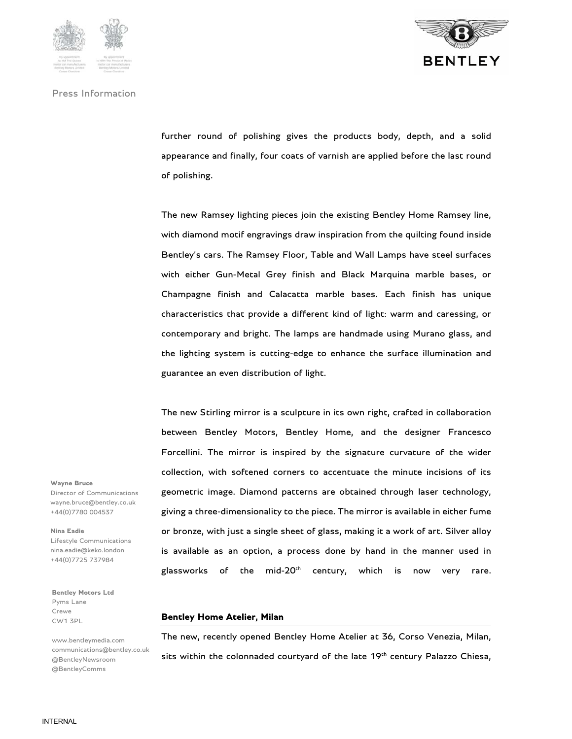





further round of polishing gives the products body, depth, and a solid appearance and finally, four coats of varnish are applied before the last round of polishing.

The new Ramsey lighting pieces join the existing Bentley Home Ramsey line, with diamond motif engravings draw inspiration from the quilting found inside Bentley's cars. The Ramsey Floor, Table and Wall Lamps have steel surfaces with either Gun-Metal Grey finish and Black Marquina marble bases, or Champagne finish and Calacatta marble bases. Each finish has unique characteristics that provide a different kind of light: warm and caressing, or contemporary and bright. The lamps are handmade using Murano glass, and the lighting system is cutting-edge to enhance the surface illumination and guarantee an even distribution of light.

The new Stirling mirror is a sculpture in its own right, crafted in collaboration between Bentley Motors, Bentley Home, and the designer Francesco Forcellini. The mirror is inspired by the signature curvature of the wider collection, with softened corners to accentuate the minute incisions of its geometric image. Diamond patterns are obtained through laser technology, giving a three-dimensionality to the piece. The mirror is available in either fume or bronze, with just a single sheet of glass, making it a work of art. Silver alloy is available as an option, a process done by hand in the manner used in glassworks of the mid-20<sup>th</sup> century, which is now very rare.

**Bentley Home Atelier, Milan** 

The new, recently opened Bentley Home Atelier at 36, Corso Venezia, Milan, sits within the colonnaded courtyard of the late 19<sup>th</sup> century Palazzo Chiesa,

**Wayne Bruce**  Director of Communications wayne.bruce@bentley.co.uk +44(0)7780 004537

**Nina Eadie** 

Lifestyle Communications nina.eadie@keko.london +44(0)7725 737984

**Bentley Motors Ltd**  Pyms Lane Crewe CW1 3PL